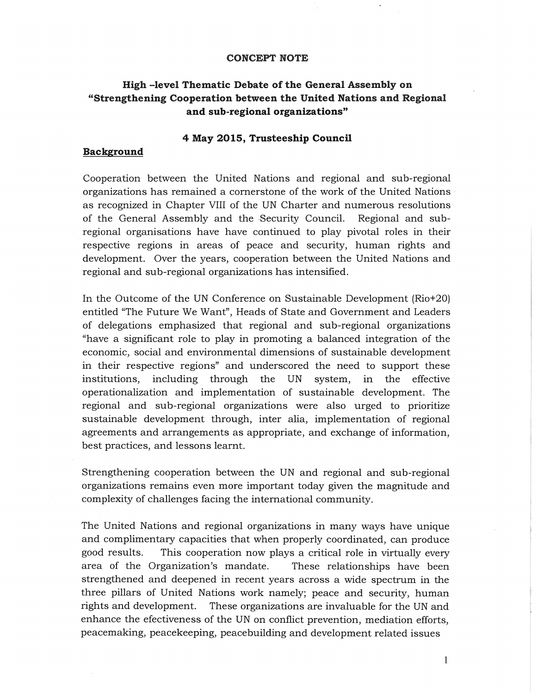#### **CONCEPT NOTE**

# **High -level Thematic Debate of the General Assembly on "Strengthening Cooperation between the United Nations and Regional and sub-regional organizations"**

### **4 May 2015, Trusteeship Council**

#### **Background**

Cooperation between the United Nations and regional and sub-regional organizations has remained a cornerstone of the work of the United Nations / as recognized in Chapter VIII of the UN Charter and numerous resolutions of the General Assembly and the ·Security Council. Regional and subregional organisations have have continued to play pivotal roles in their respective regions in areas of peace and security, human rights and development. Over the years, cooperation between the United Nations and regional and sub-regional organizations has intensified.

In the Outcome of the UN Conference on Sustainable Development (Rio+20) entitled "The Future We Want", Heads of State and Government and Leaders of delegations emphasized that regional and sub-regional organizations "have a significant role to play in promoting a balanced integration of the economic, social and environmental dimensions of sustainable development in their respective regions" and underscored the need to support these institutions, including through the UN system, in the effective operationalization and implementation of sustainable development. The regional and sub-regional organizations were also urged to prioritize sustainable development through, inter alia, implementation of regional agreements and arrangements as appropriate, and exchange of information, best practices, and lessons learnt.

Strengthening cooperation between the UN and regional and sub-regional organizations remains even more important today given the magnitude and complexity of challenges facing the international community.

The United Nations and regional organizations in many ways have unique and complimentary capacities that when properly coordinated, can produce good results. This cooperation now plays a critical role in virtually every area of the Organization'S mandate. These relationships have been strengthened and deepened in recent years across a wide spectrum in the three pillars of United Nations work namely; peace and security, human rights and development. These organizations are invaluable for the UN and enhance the efectiveness of the UN on conflict prevention, mediation efforts, peacemaking, peacekeeping, peacebuilding and development related issues

I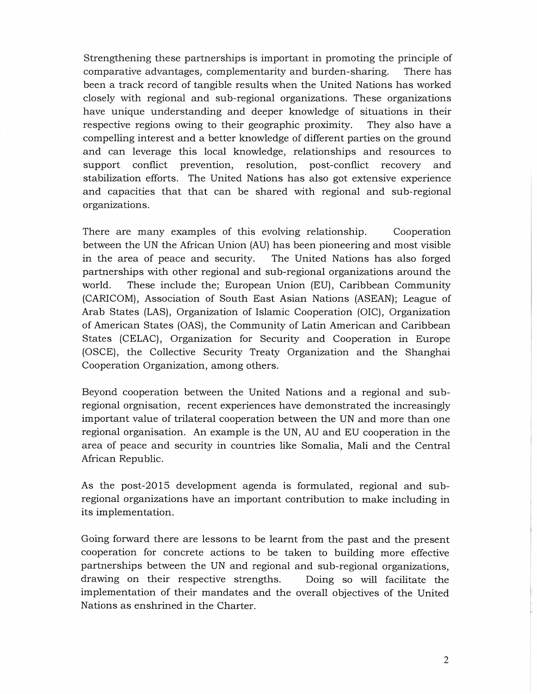Strengthening these partnerships is important in promoting the principle of comparative advantages, complementarity and burden-sharing. There has been a track record of tangible results when the United Nations has worked closely with regional and sub-regional organizations. These organizations have unique understanding and deeper knowledge of situations in their respective regions owing to their geographic proximity. They also have a compelling interest and a better knowledge of different parties on the ground and can leverage this local knowledge, relationships and resources to support conflict prevention, resolution, post-conflict recovery and stabilization efforts. The United Nations has also got extensive experience and capacities that that can be shared with regional and sub-regional organizations.

There are many examples of this evolving relationship. Cooperation between the UN the African Union (AU) has been pioneering and most visible in the area of peace and security. The United Nations has also forged partnerships with other regional and sub-regional organizations around the world. These include the; European Union (EU), Caribbean Community (CARICOM), Association of South East Asian Nations (ASEAN); League of Arab States (LAS), Organization of Islamic Cooperation (OIC), Organization of American States (OAS), the Community of Latin American and Caribbean States (CELAC), Organization for Security and Cooperation in Europe (OSCE), the Collective Security Treaty Organization and the Shanghai Cooperation Organization, among others.

Beyond cooperation between the United Nations and a regional and subregional orgnisation, recent experiences have demonstrated the increasingly important value of trilateral cooperation between the UN and more than one regional organisation. An example is the UN, AU and EU cooperation in the area of peace and security in countries like Somalia, Mali and the Central African Republic.

As the post-2015 development agenda is formulated, regional and subregional organizations have an important contribution to make including in its implementation.

Going forward there are lessons to be learnt from the past and the present cooperation for concrete actions to be taken to building more effective partnerships between the UN and regional and sub-regional organizations, drawing on their respective strengths. Doing so will facilitate the implementation of their mandates and the overall objectives of the United Nations as enshrined in the Charter.

2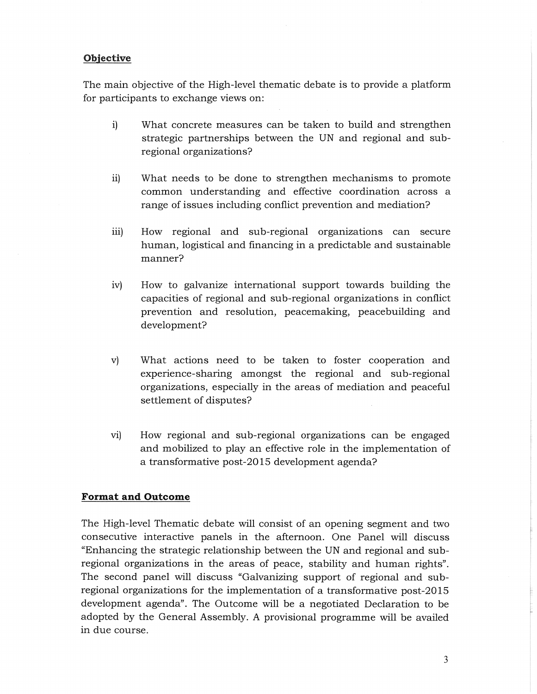## **Objective**

The main objective of the High-level thematic debate is to provide a platform for participants to exchange views on:

- i) What concrete measures can be taken to build and strengthen strategic partnerships between the UN and regional and subregional organizations?
- ii) What needs to be done to strengthen mechanisms to promote common understanding and effective coordination across a range of issues including conflict prevention and mediation?
- iii) How regional and sub-regional organizations can secure human, logistical and financing in a predictable and sustainable manner?
- iv) How to galvanize international support towards building the capacities of regional and sub-regional organizations in conflict prevention and resolution, peacemaking, peacebuilding and development?
- v) What actions need to be taken to foster cooperation and experience-sharing amongst the regional and sub-regional organizations, especially in the areas of mediation and peaceful settlement of disputes?
- vi) How regional and sub-regional organizations can be engaged and mobilized to play an effective role in the implementation of a transformative post-2015 development agenda?

### **Format and Outcome**

The High-level Thematic debate will consist of an opening segment and two consecutive interactive panels in the afternoon. One Panel will discuss "Enhancing the strategic relationship between the UN and regional and subregional organizations in the areas of peace, stability and human rights". The second panel will discuss "Galvanizing support of regional and subregional organizations for the implementation of a transformative post-2015 development agenda". The Outcome will be a negotiated Declaration to be adopted by the General Assembly. A provisional programme will be availed in due course.